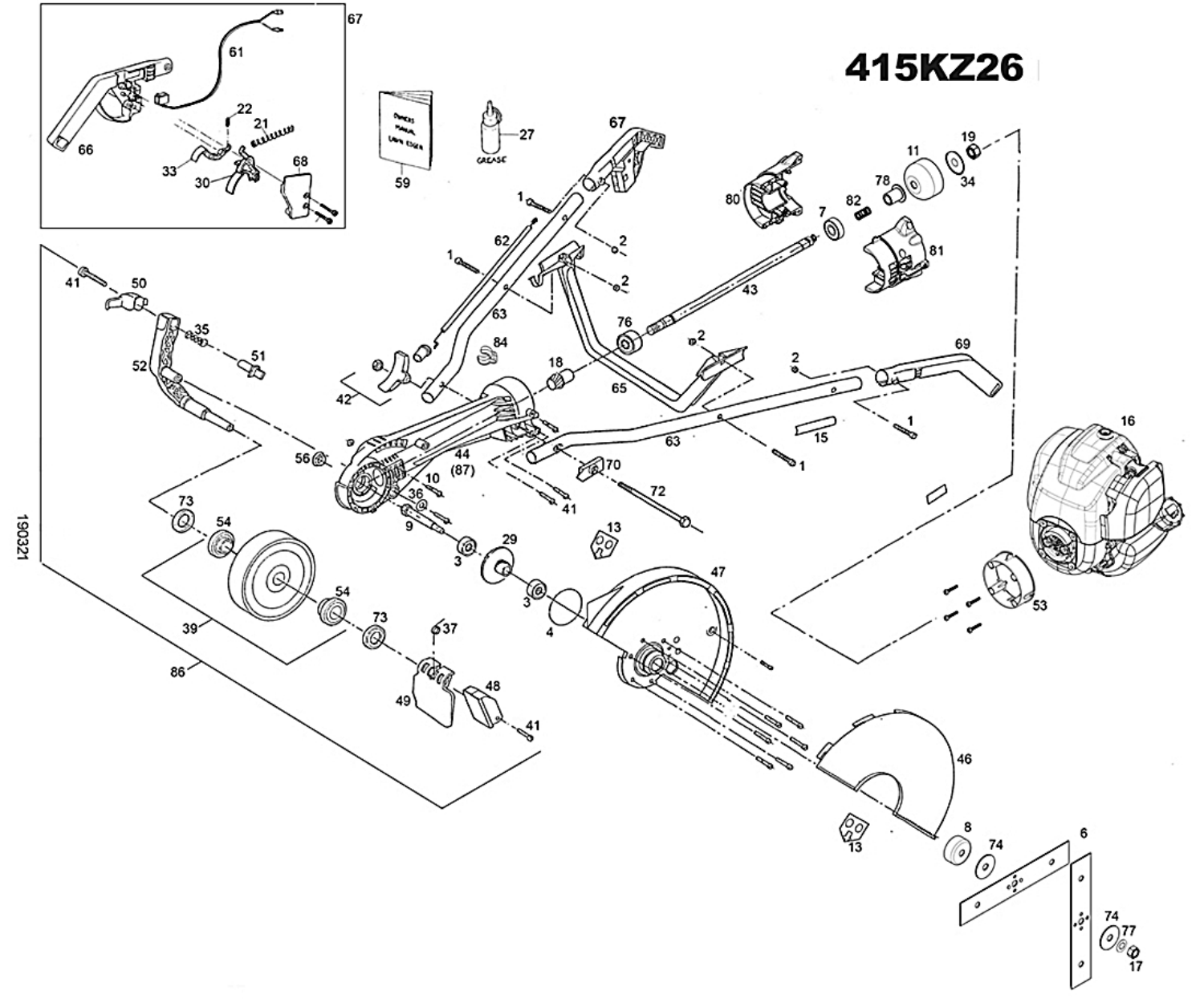